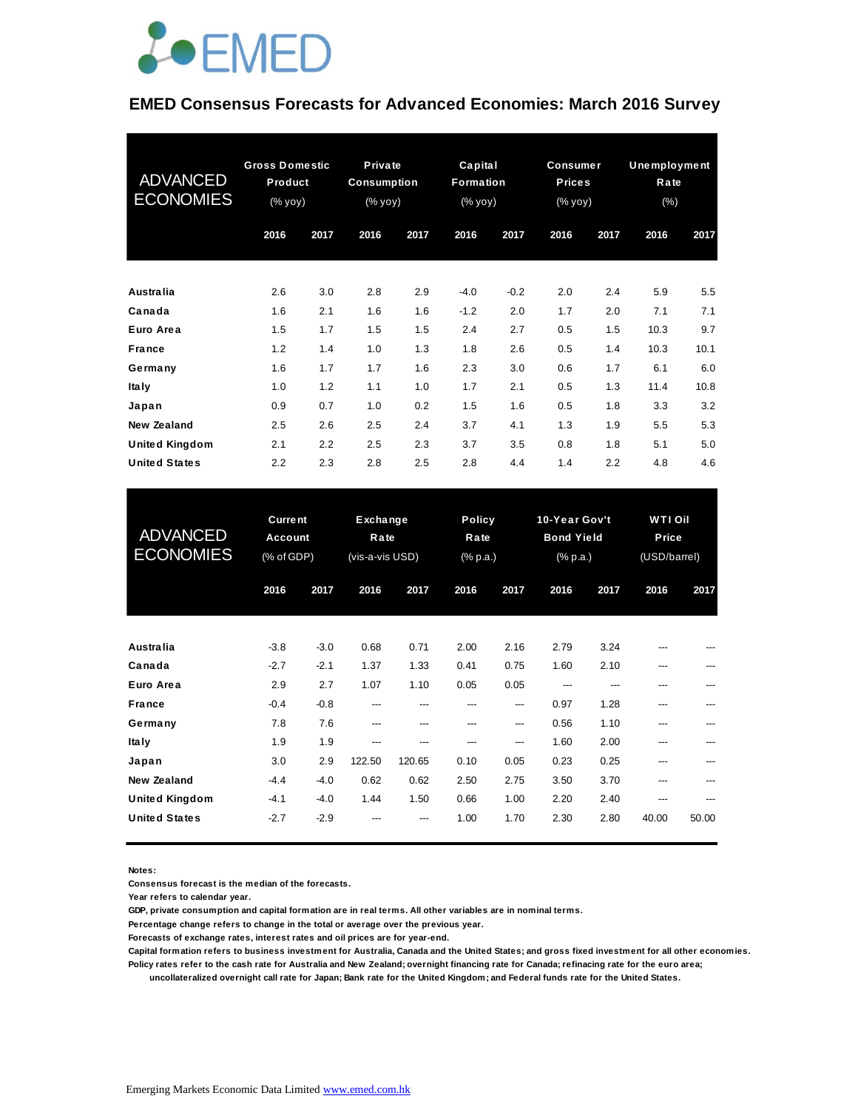

#### **EMED Consensus Forecasts for Advanced Economies: March 2016 Survey**

| <b>ADVANCED</b><br><b>ECONOMIES</b> | <b>Gross Domestic</b><br>Product<br>(% yoy) |      | Private<br><b>Consumption</b><br>(% yoy) |      | Capital<br>Formation<br>(% yoy) |        | <b>Consumer</b><br><b>Prices</b><br>(% yoy) |      | Unemployment<br>Rate<br>(% ) |      |
|-------------------------------------|---------------------------------------------|------|------------------------------------------|------|---------------------------------|--------|---------------------------------------------|------|------------------------------|------|
|                                     | 2016                                        | 2017 | 2016                                     | 2017 | 2016                            | 2017   | 2016                                        | 2017 | 2016                         | 2017 |
| <b>Australia</b>                    | 2.6                                         | 3.0  | 2.8                                      | 2.9  | $-4.0$                          | $-0.2$ | 2.0                                         | 2.4  | 5.9                          | 5.5  |
| Canada                              | 1.6                                         | 2.1  | 1.6                                      | 1.6  | $-1.2$                          | 2.0    | 1.7                                         | 2.0  | 7.1                          | 7.1  |
| Euro Area                           | 1.5                                         | 1.7  | 1.5                                      | 1.5  | 2.4                             | 2.7    | 0.5                                         | 1.5  | 10.3                         | 9.7  |
| <b>France</b>                       | 1.2                                         | 1.4  | 1.0                                      | 1.3  | 1.8                             | 2.6    | 0.5                                         | 1.4  | 10.3                         | 10.1 |
| Germany                             | 1.6                                         | 1.7  | 1.7                                      | 1.6  | 2.3                             | 3.0    | 0.6                                         | 1.7  | 6.1                          | 6.0  |
| <b>Italy</b>                        | 1.0                                         | 1.2  | 1.1                                      | 1.0  | 1.7                             | 2.1    | 0.5                                         | 1.3  | 11.4                         | 10.8 |
| Japan                               | 0.9                                         | 0.7  | 1.0                                      | 0.2  | 1.5                             | 1.6    | 0.5                                         | 1.8  | 3.3                          | 3.2  |
| New Zealand                         | 2.5                                         | 2.6  | 2.5                                      | 2.4  | 3.7                             | 4.1    | 1.3                                         | 1.9  | 5.5                          | 5.3  |
| <b>United Kingdom</b>               | 2.1                                         | 2.2  | 2.5                                      | 2.3  | 3.7                             | 3.5    | 0.8                                         | 1.8  | 5.1                          | 5.0  |
| <b>United States</b>                | 2.2                                         | 2.3  | 2.8                                      | 2.5  | 2.8                             | 4.4    | 1.4                                         | 2.2  | 4.8                          | 4.6  |

| <b>United States</b>                 | 2.2                                            | 2.3              | 2.8           | 2.5                                 | 2.8          | 4.4                               | 1.4          | 2.2                                                               | 4.8        | 4.6                              |  |
|--------------------------------------|------------------------------------------------|------------------|---------------|-------------------------------------|--------------|-----------------------------------|--------------|-------------------------------------------------------------------|------------|----------------------------------|--|
| <b>ADVANCED</b><br><b>ECONOMIES</b>  | <b>Current</b><br><b>Account</b><br>(% of GDP) |                  |               | Exchange<br>Rate<br>(vis-a-vis USD) |              | <b>Policy</b><br>Rate<br>(% p.a.) |              | 10-Year Gov't<br><b>Bond Yield</b><br>$(% \mathbb{R}^2)$ (% p.a.) |            | WTI Oil<br>Price<br>(USD/barrel) |  |
|                                      | 2016                                           | 2017             | 2016          | 2017                                | 2016         | 2017                              | 2016         | 2017                                                              | 2016       | 2017                             |  |
| <b>Australia</b>                     | $-3.8$                                         | $-3.0$           | 0.68          | 0.71                                | 2.00         | 2.16                              | 2.79         | 3.24                                                              |            |                                  |  |
| Canada<br>Euro Area                  | $-2.7$<br>2.9                                  | $-2.1$<br>2.7    | 1.37<br>1.07  | 1.33<br>1.10                        | 0.41<br>0.05 | 0.75<br>0.05                      | 1.60<br>---  | 2.10<br>---                                                       | ---<br>--- | ---                              |  |
| <b>France</b><br>Germany             | $-0.4$<br>7.8                                  | $-0.8$<br>7.6    | ---<br>---    | ---<br>---                          | ---<br>---   | ---<br>---                        | 0.97<br>0.56 | 1.28<br>1.10                                                      | ---<br>--- | ---<br>---                       |  |
| <b>Italy</b><br>Japan                | 1.9<br>3.0                                     | 1.9<br>2.9       | ---<br>122.50 | ---<br>120.65                       | ---<br>0.10  | ---<br>0.05                       | 1.60<br>0.23 | 2.00<br>0.25                                                      | ---<br>--- | ---                              |  |
| New Zealand<br><b>United Kingdom</b> | $-4.4$<br>$-4.1$                               | $-4.0$<br>$-4.0$ | 0.62<br>1.44  | 0.62<br>1.50                        | 2.50<br>0.66 | 2.75<br>1.00                      | 3.50<br>2.20 | 3.70<br>2.40                                                      | ---<br>--- | ---<br>---                       |  |
| <b>United States</b>                 | $-2.7$                                         | $-2.9$           |               |                                     | 1.00         | 1.70                              | 2.30         | 2.80                                                              | 40.00      | 50.00                            |  |

**Notes:** 

**Consensus forecast is the median of the forecasts.**

**Year refers to calendar year.**

**GDP, private consumption and capital formation are in real terms. All other variables are in nominal terms.**

**Percentage change refers to change in the total or average over the previous year.**

**Forecasts of exchange rates, interest rates and oil prices are for year-end.**

**Capital formation refers to business investment for Australia, Canada and the United States; and gross fixed investment for all other economies. Policy rates refer to the cash rate for Australia and New Zealand; overnight financing rate for Canada; refinacing rate for the euro area;** 

 **uncollateralized overnight call rate for Japan; Bank rate for the United Kingdom; and Federal funds rate for the United States.**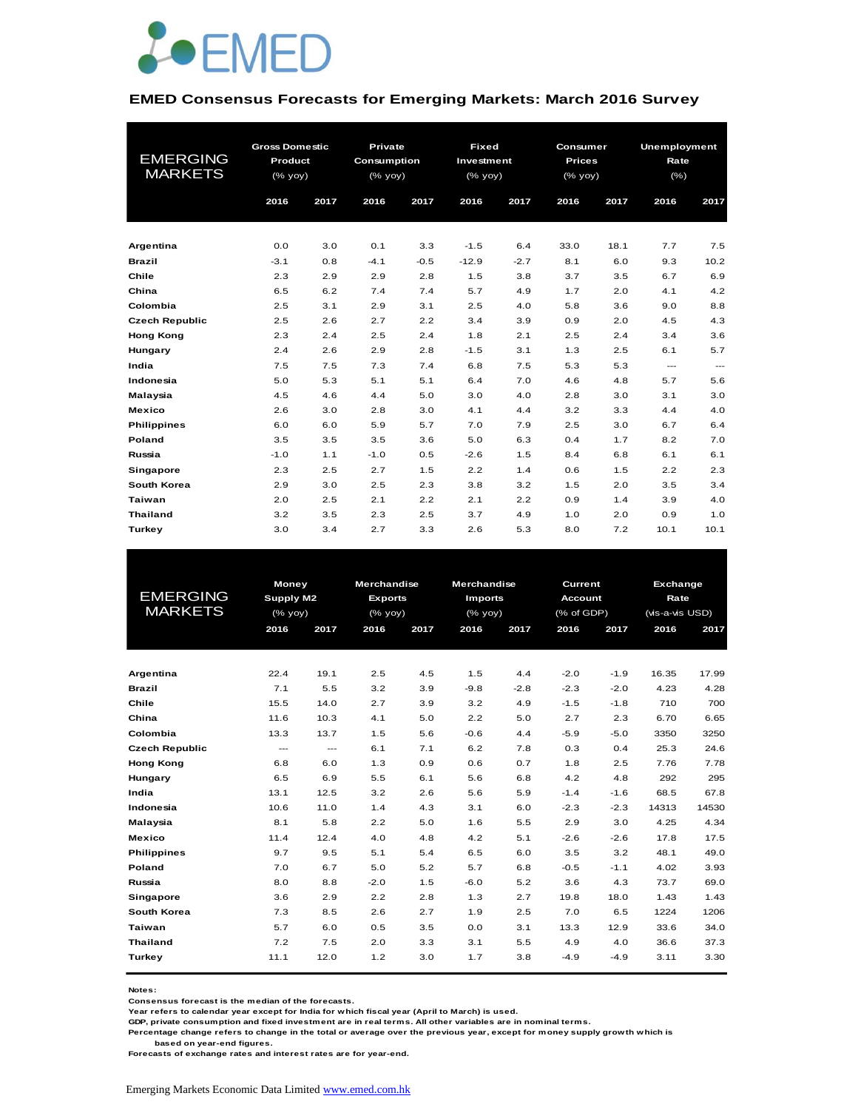

#### **EMED Consensus Forecasts for Emerging Markets: March 2016 Survey**

|                       | <b>Gross Domestic</b> |      | Private     |        | <b>Fixed</b> |        | <b>Consumer</b> |      | <b>Unemployment</b>    |      |
|-----------------------|-----------------------|------|-------------|--------|--------------|--------|-----------------|------|------------------------|------|
| <b>EMERGING</b>       | Product               |      | Consumption |        | Investment   |        | <b>Prices</b>   |      | Rate                   |      |
| <b>MARKETS</b>        | (% yoy)               |      | (% yoy)     |        | (% yoy)      |        | (% yoy)         |      | $(\% )$                |      |
|                       |                       |      |             |        |              |        |                 |      |                        |      |
|                       | 2016                  | 2017 | 2016        | 2017   | 2016         | 2017   | 2016            | 2017 | 2016                   | 2017 |
|                       |                       |      |             |        |              |        |                 |      |                        |      |
| Argentina             | 0.0                   | 3.0  | 0.1         | 3.3    | $-1.5$       | 6.4    | 33.0            | 18.1 | 7.7                    | 7.5  |
| <b>Brazil</b>         | $-3.1$                | 0.8  | $-4.1$      | $-0.5$ | $-12.9$      | $-2.7$ | 8.1             | 6.0  | 9.3                    | 10.2 |
| Chile                 | 2.3                   | 2.9  | 2.9         | 2.8    | 1.5          | 3.8    | 3.7             | 3.5  | 6.7                    | 6.9  |
| China                 | 6.5                   | 6.2  | 7.4         | 7.4    | 5.7          | 4.9    | 1.7             | 2.0  | 4.1                    | 4.2  |
| Colombia              | 2.5                   | 3.1  | 2.9         | 3.1    | 2.5          | 4.0    | 5.8             | 3.6  | 9.0                    | 8.8  |
| <b>Czech Republic</b> | 2.5                   | 2.6  | 2.7         | 2.2    | 3.4          | 3.9    | 0.9             | 2.0  | 4.5                    | 4.3  |
| <b>Hong Kong</b>      | 2.3                   | 2.4  | 2.5         | 2.4    | 1.8          | 2.1    | 2.5             | 2.4  | 3.4                    | 3.6  |
| Hungary               | 2.4                   | 2.6  | 2.9         | 2.8    | $-1.5$       | 3.1    | 1.3             | 2.5  | 6.1                    | 5.7  |
| India                 | 7.5                   | 7.5  | 7.3         | 7.4    | 6.8          | 7.5    | 5.3             | 5.3  | $\qquad \qquad \cdots$ | ---  |
| Indonesia             | 5.0                   | 5.3  | 5.1         | 5.1    | 6.4          | 7.0    | 4.6             | 4.8  | 5.7                    | 5.6  |
| Malaysia              | 4.5                   | 4.6  | 4.4         | 5.0    | 3.0          | 4.0    | 2.8             | 3.0  | 3.1                    | 3.0  |
| <b>Mexico</b>         | 2.6                   | 3.0  | 2.8         | 3.0    | 4.1          | 4.4    | 3.2             | 3.3  | 4.4                    | 4.0  |
| <b>Philippines</b>    | 6.0                   | 6.0  | 5.9         | 5.7    | 7.0          | 7.9    | 2.5             | 3.0  | 6.7                    | 6.4  |
| Poland                | 3.5                   | 3.5  | 3.5         | 3.6    | 5.0          | 6.3    | 0.4             | 1.7  | 8.2                    | 7.0  |
| Russia                | $-1.0$                | 1.1  | $-1.0$      | 0.5    | $-2.6$       | 1.5    | 8.4             | 6.8  | 6.1                    | 6.1  |
| Singapore             | 2.3                   | 2.5  | 2.7         | 1.5    | 2.2          | 1.4    | 0.6             | 1.5  | 2.2                    | 2.3  |
| South Korea           | 2.9                   | 3.0  | 2.5         | 2.3    | 3.8          | 3.2    | 1.5             | 2.0  | 3.5                    | 3.4  |
| <b>Taiwan</b>         | 2.0                   | 2.5  | 2.1         | 2.2    | 2.1          | 2.2    | 0.9             | 1.4  | 3.9                    | 4.0  |
| <b>Thailand</b>       | 3.2                   | 3.5  | 2.3         | 2.5    | 3.7          | 4.9    | 1.0             | 2.0  | 0.9                    | 1.0  |
| Turkey                | 3.0                   | 3.4  | 2.7         | 3.3    | 2.6          | 5.3    | 8.0             | 7.2  | 10.1                   | 10.1 |

|                       | <b>Money</b>     |          | <b>Merchandise</b> |      | <b>Merchandise</b> |        | Current        |        |                                                                                                                                                                                    |       |
|-----------------------|------------------|----------|--------------------|------|--------------------|--------|----------------|--------|------------------------------------------------------------------------------------------------------------------------------------------------------------------------------------|-------|
| <b>EMERGING</b>       | <b>Supply M2</b> |          | <b>Exports</b>     |      | <b>Imports</b>     |        | <b>Account</b> |        | <b>Exchange</b><br>Rate<br>(vis-a-vis USD)<br>2016<br>16.35<br>4.23<br>710<br>6.70<br>3350<br>25.3<br>7.76<br>292<br>68.5<br>14313<br>4.25<br>17.8<br>48.1<br>4.02<br>73.7<br>1.43 |       |
| <b>MARKETS</b>        | (% yoy)          |          | $(%$ (% yoy)       |      | (% yoy)            |        | (% of GDP)     |        |                                                                                                                                                                                    |       |
|                       | 2016             | 2017     | 2016               | 2017 | 2016               | 2017   | 2016           | 2017   |                                                                                                                                                                                    | 2017  |
|                       |                  |          |                    |      |                    |        |                |        |                                                                                                                                                                                    |       |
|                       |                  |          |                    |      |                    |        |                |        |                                                                                                                                                                                    |       |
| Argentina             | 22.4             | 19.1     | 2.5                | 4.5  | 1.5                | 4.4    | $-2.0$         | $-1.9$ |                                                                                                                                                                                    | 17.99 |
| <b>Brazil</b>         | 7.1              | 5.5      | 3.2                | 3.9  | $-9.8$             | $-2.8$ | $-2.3$         | $-2.0$ |                                                                                                                                                                                    | 4.28  |
| Chile                 | 15.5             | 14.0     | 2.7                | 3.9  | 3.2                | 4.9    | $-1.5$         | $-1.8$ |                                                                                                                                                                                    | 700   |
| China                 | 11.6             | 10.3     | 4.1                | 5.0  | 2.2                | 5.0    | 2.7            | 2.3    |                                                                                                                                                                                    | 6.65  |
| Colombia              | 13.3             | 13.7     | 1.5                | 5.6  | $-0.6$             | 4.4    | $-5.9$         | $-5.0$ |                                                                                                                                                                                    | 3250  |
| <b>Czech Republic</b> | ---              | $\cdots$ | 6.1                | 7.1  | 6.2                | 7.8    | 0.3            | 0.4    |                                                                                                                                                                                    | 24.6  |
| <b>Hong Kong</b>      | 6.8              | 6.0      | 1.3                | 0.9  | 0.6                | 0.7    | 1.8            | 2.5    |                                                                                                                                                                                    | 7.78  |
| Hungary               | 6.5              | 6.9      | 5.5                | 6.1  | 5.6                | 6.8    | 4.2            | 4.8    |                                                                                                                                                                                    | 295   |
| India                 | 13.1             | 12.5     | 3.2                | 2.6  | 5.6                | 5.9    | $-1.4$         | $-1.6$ |                                                                                                                                                                                    | 67.8  |
| Indonesia             | 10.6             | 11.0     | 1.4                | 4.3  | 3.1                | 6.0    | $-2.3$         | $-2.3$ |                                                                                                                                                                                    | 14530 |
| Malaysia              | 8.1              | 5.8      | 2.2                | 5.0  | 1.6                | 5.5    | 2.9            | 3.0    |                                                                                                                                                                                    | 4.34  |
| <b>Mexico</b>         | 11.4             | 12.4     | 4.0                | 4.8  | 4.2                | 5.1    | $-2.6$         | $-2.6$ |                                                                                                                                                                                    | 17.5  |
| <b>Philippines</b>    | 9.7              | 9.5      | 5.1                | 5.4  | 6.5                | 6.0    | 3.5            | 3.2    |                                                                                                                                                                                    | 49.0  |
| Poland                | 7.0              | 6.7      | 5.0                | 5.2  | 5.7                | 6.8    | $-0.5$         | $-1.1$ |                                                                                                                                                                                    | 3.93  |
| Russia                | 8.0              | 8.8      | $-2.0$             | 1.5  | $-6.0$             | 5.2    | 3.6            | 4.3    |                                                                                                                                                                                    | 69.0  |
| Singapore             | 3.6              | 2.9      | 2.2                | 2.8  | 1.3                | 2.7    | 19.8           | 18.0   |                                                                                                                                                                                    | 1.43  |
| South Korea           | 7.3              | 8.5      | 2.6                | 2.7  | 1.9                | 2.5    | 7.0            | 6.5    | 1224                                                                                                                                                                               | 1206  |
| Taiwan                | 5.7              | 6.0      | 0.5                | 3.5  | 0.0                | 3.1    | 13.3           | 12.9   | 33.6                                                                                                                                                                               | 34.0  |
| <b>Thailand</b>       | 7.2              | 7.5      | 2.0                | 3.3  | 3.1                | 5.5    | 4.9            | 4.0    | 36.6                                                                                                                                                                               | 37.3  |
| Turkey                | 11.1             | 12.0     | 1.2                | 3.0  | 1.7                | 3.8    | $-4.9$         | $-4.9$ | 3.11                                                                                                                                                                               | 3.30  |
|                       |                  |          |                    |      |                    |        |                |        |                                                                                                                                                                                    |       |

**Notes:** 

**Consensus forecast is the median of the forecasts.**

**Year refers to calendar year except for India for which fiscal year (April to March) is used.**

**GDP, private consumption and fixed investment are in real terms. All other variables are in nominal terms.**

**Percentage change refers to change in the total or average over the previous year, except for money supply growth which is** 

 **based on year-end figures.**

**Forecasts of exchange rates and interest rates are for year-end.**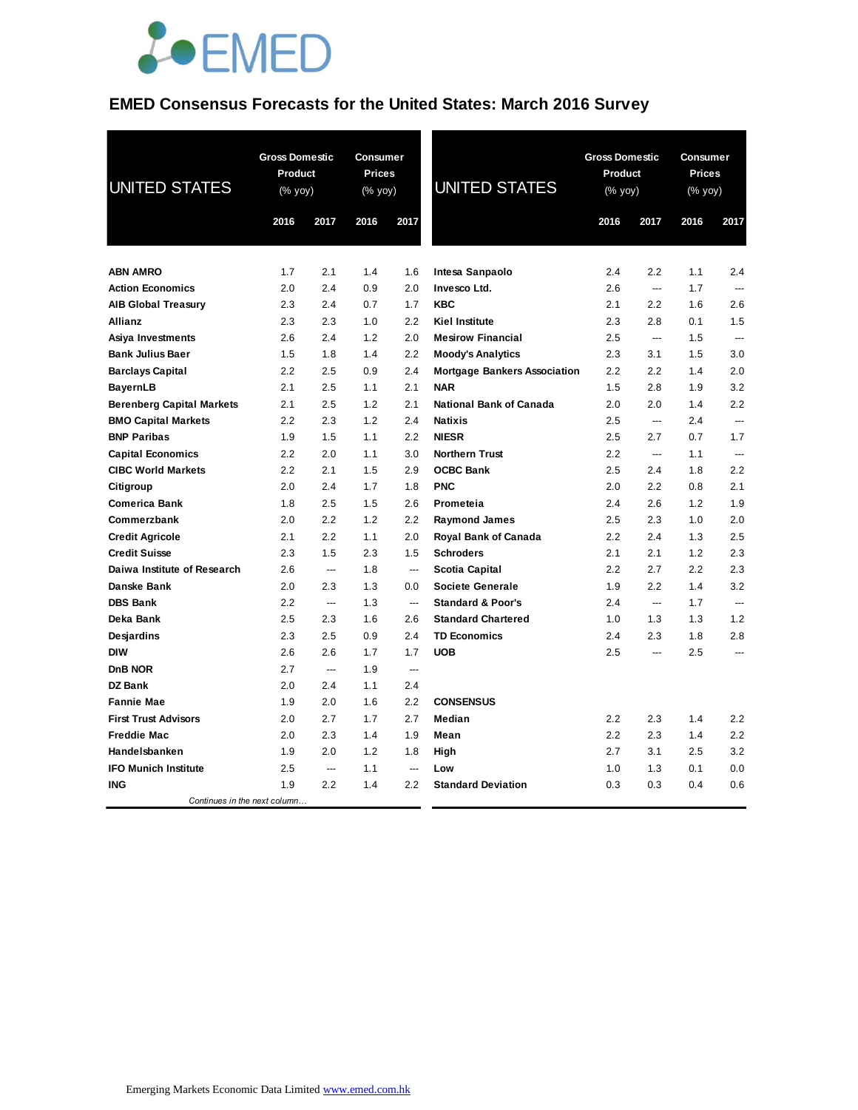

# **EMED Consensus Forecasts for the United States: March 2016 Survey**

| <b>UNITED STATES</b>             | <b>Gross Domestic</b><br>Product<br>(% yoy) |       | Consumer<br><b>Prices</b><br>(% yoy) |                          | <b>UNITED STATES</b>                |      | <b>Gross Domestic</b><br>Product<br>(% yoy) |      | Consumer<br><b>Prices</b><br>(% yoy) |  |
|----------------------------------|---------------------------------------------|-------|--------------------------------------|--------------------------|-------------------------------------|------|---------------------------------------------|------|--------------------------------------|--|
|                                  | 2016                                        | 2017  | 2016                                 | 2017                     |                                     | 2016 | 2017                                        | 2016 | 2017                                 |  |
|                                  |                                             |       |                                      |                          |                                     |      |                                             |      |                                      |  |
| <b>ABN AMRO</b>                  | 1.7                                         | 2.1   | 1.4                                  | 1.6                      | Intesa Sanpaolo                     | 2.4  | 2.2                                         | 1.1  | 2.4                                  |  |
| <b>Action Economics</b>          | 2.0                                         | 2.4   | 0.9                                  | 2.0                      | Invesco Ltd.                        | 2.6  | $\overline{\phantom{a}}$                    | 1.7  | $\overline{a}$                       |  |
| <b>AIB Global Treasury</b>       | 2.3                                         | 2.4   | 0.7                                  | 1.7                      | <b>KBC</b>                          | 2.1  | 2.2                                         | 1.6  | 2.6                                  |  |
| Allianz                          | 2.3                                         | 2.3   | 1.0                                  | 2.2                      | <b>Kiel Institute</b>               | 2.3  | 2.8                                         | 0.1  | 1.5                                  |  |
| Asiya Investments                | 2.6                                         | 2.4   | 1.2                                  | 2.0                      | <b>Mesirow Financial</b>            | 2.5  | $\overline{\phantom{a}}$                    | 1.5  | $\overline{a}$                       |  |
| <b>Bank Julius Baer</b>          | 1.5                                         | 1.8   | 1.4                                  | 2.2                      | <b>Moody's Analytics</b>            | 2.3  | 3.1                                         | 1.5  | 3.0                                  |  |
| <b>Barclays Capital</b>          | 2.2                                         | 2.5   | 0.9                                  | 2.4                      | <b>Mortgage Bankers Association</b> | 2.2  | 2.2                                         | 1.4  | 2.0                                  |  |
| BayernLB                         | 2.1                                         | 2.5   | 1.1                                  | 2.1                      | <b>NAR</b>                          | 1.5  | 2.8                                         | 1.9  | 3.2                                  |  |
| <b>Berenberg Capital Markets</b> | 2.1                                         | 2.5   | 1.2                                  | 2.1                      | National Bank of Canada             | 2.0  | 2.0                                         | 1.4  | 2.2                                  |  |
| <b>BMO Capital Markets</b>       | 2.2                                         | 2.3   | 1.2                                  | 2.4                      | <b>Natixis</b>                      | 2.5  | $\overline{\phantom{a}}$                    | 2.4  | $---$                                |  |
| <b>BNP Paribas</b>               | 1.9                                         | 1.5   | 1.1                                  | 2.2                      | <b>NIESR</b>                        | 2.5  | 2.7                                         | 0.7  | 1.7                                  |  |
| <b>Capital Economics</b>         | 2.2                                         | 2.0   | 1.1                                  | 3.0                      | <b>Northern Trust</b>               | 2.2  | ---                                         | 1.1  | ---                                  |  |
| <b>CIBC World Markets</b>        | 2.2                                         | 2.1   | 1.5                                  | 2.9                      | <b>OCBC Bank</b>                    | 2.5  | 2.4                                         | 1.8  | 2.2                                  |  |
| Citigroup                        | 2.0                                         | 2.4   | 1.7                                  | 1.8                      | <b>PNC</b>                          | 2.0  | 2.2                                         | 0.8  | 2.1                                  |  |
| <b>Comerica Bank</b>             | 1.8                                         | 2.5   | 1.5                                  | 2.6                      | Prometeia                           | 2.4  | 2.6                                         | 1.2  | 1.9                                  |  |
| Commerzbank                      | 2.0                                         | 2.2   | 1.2                                  | 2.2                      | <b>Raymond James</b>                | 2.5  | 2.3                                         | 1.0  | 2.0                                  |  |
| <b>Credit Agricole</b>           | 2.1                                         | 2.2   | 1.1                                  | 2.0                      | <b>Royal Bank of Canada</b>         | 2.2  | 2.4                                         | 1.3  | 2.5                                  |  |
| <b>Credit Suisse</b>             | 2.3                                         | 1.5   | 2.3                                  | 1.5                      | <b>Schroders</b>                    | 2.1  | 2.1                                         | 1.2  | 2.3                                  |  |
| Daiwa Institute of Research      | 2.6                                         | ---   | 1.8                                  | ---                      | Scotia Capital                      | 2.2  | 2.7                                         | 2.2  | 2.3                                  |  |
| Danske Bank                      | 2.0                                         | 2.3   | 1.3                                  | 0.0                      | <b>Societe Generale</b>             | 1.9  | 2.2                                         | 1.4  | 3.2                                  |  |
| <b>DBS Bank</b>                  | 2.2                                         | ---   | 1.3                                  | ---                      | <b>Standard &amp; Poor's</b>        | 2.4  |                                             | 1.7  | ---                                  |  |
| Deka Bank                        | 2.5                                         | 2.3   | 1.6                                  | 2.6                      | <b>Standard Chartered</b>           | 1.0  | 1.3                                         | 1.3  | 1.2                                  |  |
| Desjardins                       | 2.3                                         | 2.5   | 0.9                                  | 2.4                      | <b>TD Economics</b>                 | 2.4  | 2.3                                         | 1.8  | 2.8                                  |  |
| <b>DIW</b>                       | 2.6                                         | 2.6   | 1.7                                  | 1.7                      | <b>UOB</b>                          | 2.5  | $---$                                       | 2.5  | $\overline{a}$                       |  |
| DnB NOR                          | 2.7                                         | $---$ | 1.9                                  | $\overline{\phantom{a}}$ |                                     |      |                                             |      |                                      |  |
| DZ Bank                          | 2.0                                         | 2.4   | 1.1                                  | 2.4                      |                                     |      |                                             |      |                                      |  |
| <b>Fannie Mae</b>                | 1.9                                         | 2.0   | 1.6                                  | 2.2                      | <b>CONSENSUS</b>                    |      |                                             |      |                                      |  |
| <b>First Trust Advisors</b>      | 2.0                                         | 2.7   | 1.7                                  | 2.7                      | Median                              | 2.2  | 2.3                                         | 1.4  | 2.2                                  |  |
| <b>Freddie Mac</b>               | 2.0                                         | 2.3   | 1.4                                  | 1.9                      | Mean                                | 2.2  | 2.3                                         | 1.4  | 2.2                                  |  |
| Handelsbanken                    | 1.9                                         | 2.0   | 1.2                                  | 1.8                      | High                                | 2.7  | 3.1                                         | 2.5  | 3.2                                  |  |
| <b>IFO Munich Institute</b>      | 2.5                                         | ---   | 1.1                                  | ---                      | Low                                 | 1.0  | 1.3                                         | 0.1  | 0.0                                  |  |
| <b>ING</b>                       | 1.9                                         | 2.2   | 1.4                                  | 2.2                      | <b>Standard Deviation</b>           | 0.3  | 0.3                                         | 0.4  | 0.6                                  |  |
| Continues in the next column     |                                             |       |                                      |                          |                                     |      |                                             |      |                                      |  |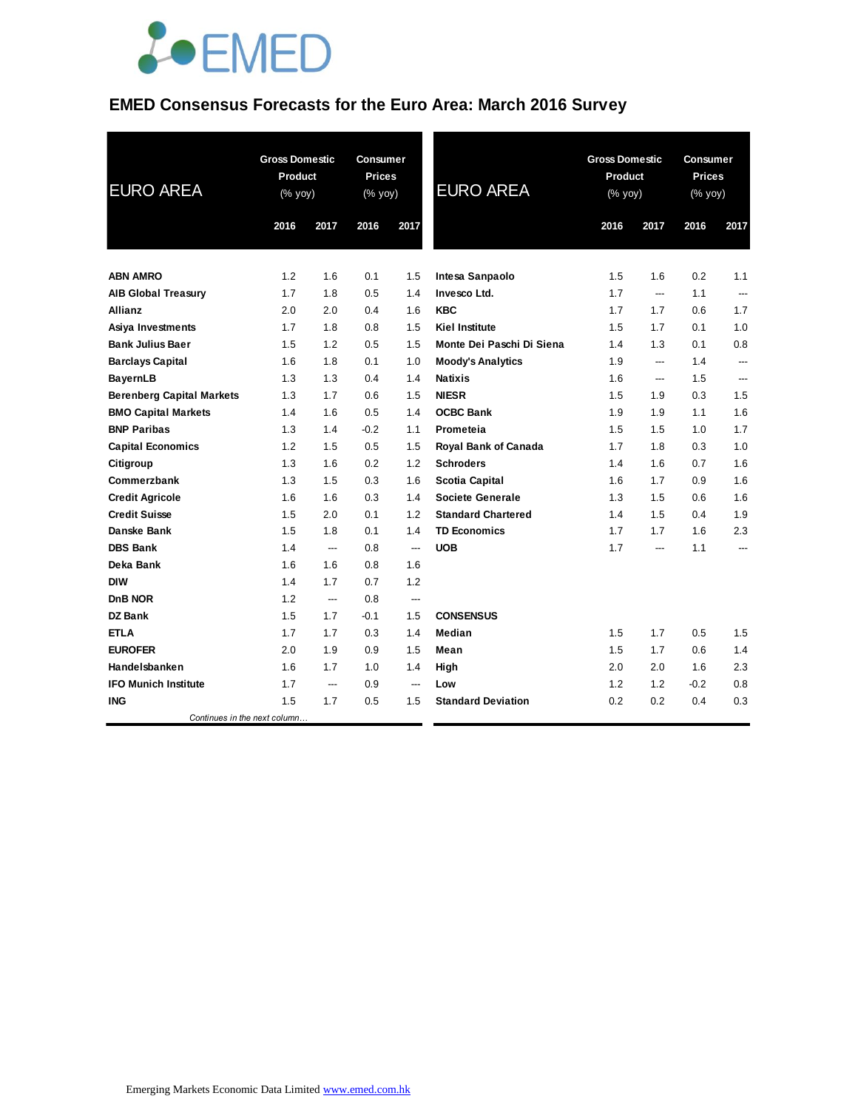

# **EMED Consensus Forecasts for the Euro Area: March 2016 Survey**

| <b>EURO AREA</b>                 | <b>Gross Domestic</b><br>Product<br>$(% \mathsf{Y}^{\prime }\mathsf{Y}^{\prime }\mathsf{Y}^{\prime })$ |      | <b>Consumer</b><br><b>Prices</b><br>(% yoy) |                          | <b>EURO AREA</b>          | <b>Gross Domestic</b><br>Product<br>(% yoy) |      | Consumer<br><b>Prices</b><br>(% yoy) |      |
|----------------------------------|--------------------------------------------------------------------------------------------------------|------|---------------------------------------------|--------------------------|---------------------------|---------------------------------------------|------|--------------------------------------|------|
|                                  | 2016                                                                                                   | 2017 | 2016                                        | 2017                     |                           | 2016                                        | 2017 | 2016                                 | 2017 |
| <b>ABN AMRO</b>                  | 1.2                                                                                                    | 1.6  | 0.1                                         | 1.5                      | Intesa Sanpaolo           | 1.5                                         | 1.6  | 0.2                                  | 1.1  |
| <b>AIB Global Treasury</b>       | 1.7                                                                                                    | 1.8  | 0.5                                         | 1.4                      | Invesco Ltd.              | 1.7                                         | ---  | 1.1                                  | ---  |
| <b>Allianz</b>                   | 2.0                                                                                                    | 2.0  | 0.4                                         | 1.6                      | <b>KBC</b>                | 1.7                                         | 1.7  | 0.6                                  | 1.7  |
| Asiya Investments                | 1.7                                                                                                    | 1.8  | 0.8                                         | 1.5                      | <b>Kiel Institute</b>     | 1.5                                         | 1.7  | 0.1                                  | 1.0  |
| <b>Bank Julius Baer</b>          | 1.5                                                                                                    | 1.2  | 0.5                                         | 1.5                      | Monte Dei Paschi Di Siena | 1.4                                         | 1.3  | 0.1                                  | 0.8  |
| <b>Barclays Capital</b>          | 1.6                                                                                                    | 1.8  | 0.1                                         | 1.0                      | <b>Moody's Analytics</b>  | 1.9                                         | ---  | 1.4                                  | ---  |
| <b>BayernLB</b>                  | 1.3                                                                                                    | 1.3  | 0.4                                         | 1.4                      | <b>Natixis</b>            | 1.6                                         | ---  | 1.5                                  | ---  |
| <b>Berenberg Capital Markets</b> | 1.3                                                                                                    | 1.7  | 0.6                                         | 1.5                      | <b>NIESR</b>              | 1.5                                         | 1.9  | 0.3                                  | 1.5  |
| <b>BMO Capital Markets</b>       | 1.4                                                                                                    | 1.6  | 0.5                                         | 1.4                      | <b>OCBC Bank</b>          | 1.9                                         | 1.9  | 1.1                                  | 1.6  |
| <b>BNP Paribas</b>               | 1.3                                                                                                    | 1.4  | $-0.2$                                      | 1.1                      | Prometeia                 | 1.5                                         | 1.5  | 1.0                                  | 1.7  |
| <b>Capital Economics</b>         | 1.2                                                                                                    | 1.5  | 0.5                                         | 1.5                      | Royal Bank of Canada      | 1.7                                         | 1.8  | 0.3                                  | 1.0  |
| Citigroup                        | 1.3                                                                                                    | 1.6  | 0.2                                         | 1.2                      | <b>Schroders</b>          | 1.4                                         | 1.6  | 0.7                                  | 1.6  |
| Commerzbank                      | 1.3                                                                                                    | 1.5  | 0.3                                         | 1.6                      | <b>Scotia Capital</b>     | 1.6                                         | 1.7  | 0.9                                  | 1.6  |
| <b>Credit Agricole</b>           | 1.6                                                                                                    | 1.6  | 0.3                                         | 1.4                      | Societe Generale          | 1.3                                         | 1.5  | 0.6                                  | 1.6  |
| <b>Credit Suisse</b>             | 1.5                                                                                                    | 2.0  | 0.1                                         | 1.2                      | <b>Standard Chartered</b> | 1.4                                         | 1.5  | 0.4                                  | 1.9  |
| Danske Bank                      | 1.5                                                                                                    | 1.8  | 0.1                                         | 1.4                      | <b>TD Economics</b>       | 1.7                                         | 1.7  | 1.6                                  | 2.3  |
| <b>DBS Bank</b>                  | 1.4                                                                                                    | ---  | 0.8                                         | ---                      | <b>UOB</b>                | 1.7                                         | ---  | 1.1                                  | ---  |
| Deka Bank                        | 1.6                                                                                                    | 1.6  | 0.8                                         | 1.6                      |                           |                                             |      |                                      |      |
| <b>DIW</b>                       | 1.4                                                                                                    | 1.7  | 0.7                                         | 1.2                      |                           |                                             |      |                                      |      |
| DnB NOR                          | 1.2                                                                                                    | ---  | 0.8                                         | ---                      |                           |                                             |      |                                      |      |
| <b>DZ Bank</b>                   | 1.5                                                                                                    | 1.7  | $-0.1$                                      | 1.5                      | <b>CONSENSUS</b>          |                                             |      |                                      |      |
| <b>ETLA</b>                      | 1.7                                                                                                    | 1.7  | 0.3                                         | 1.4                      | Median                    | 1.5                                         | 1.7  | 0.5                                  | 1.5  |
| <b>EUROFER</b>                   | 2.0                                                                                                    | 1.9  | 0.9                                         | 1.5                      | Mean                      | 1.5                                         | 1.7  | 0.6                                  | 1.4  |
| Handelsbanken                    | 1.6                                                                                                    | 1.7  | 1.0                                         | 1.4                      | High                      | 2.0                                         | 2.0  | 1.6                                  | 2.3  |
| <b>IFO Munich Institute</b>      | 1.7                                                                                                    | ---  | 0.9                                         | $\overline{\phantom{a}}$ | Low                       | 1.2                                         | 1.2  | $-0.2$                               | 0.8  |
| ING                              | 1.5                                                                                                    | 1.7  | 0.5                                         | 1.5                      | <b>Standard Deviation</b> | 0.2                                         | 0.2  | 0.4                                  | 0.3  |
| Continues in the next column     |                                                                                                        |      |                                             |                          |                           |                                             |      |                                      |      |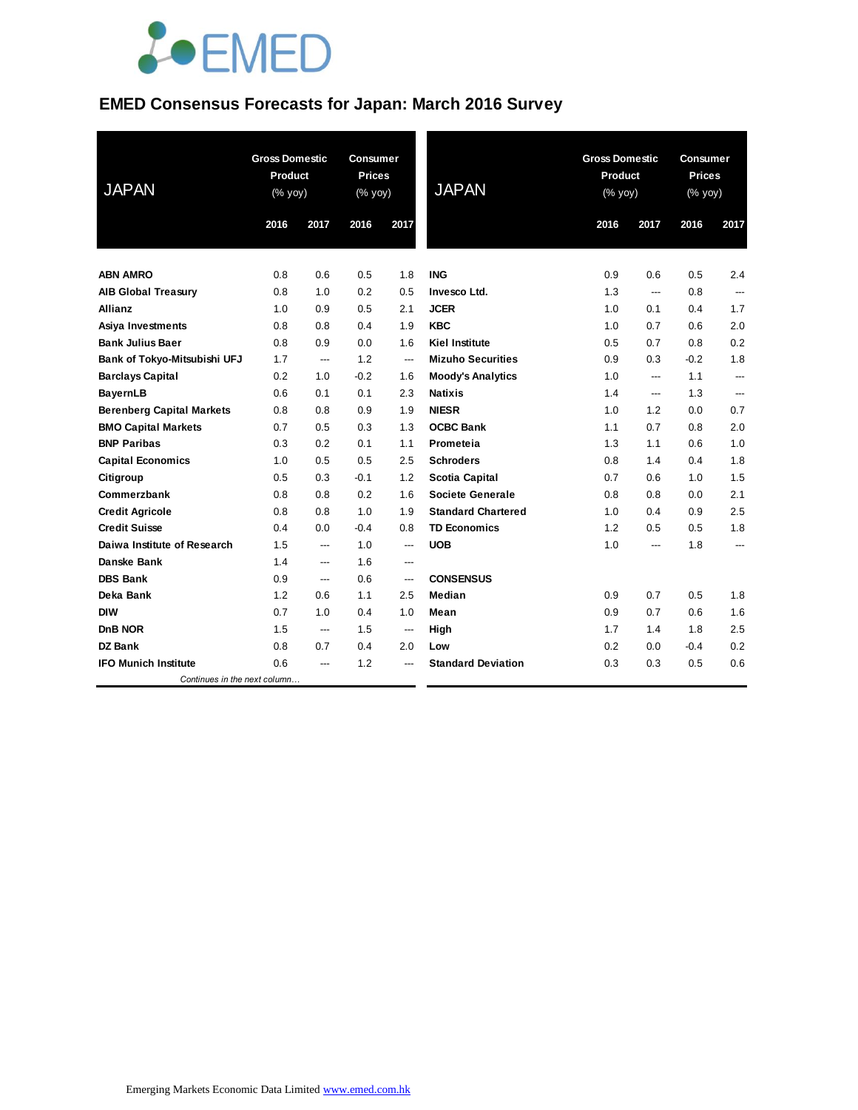

# **EMED Consensus Forecasts for Japan: March 2016 Survey**

| <b>JAPAN</b>                     | <b>Gross Domestic</b><br><b>Product</b><br>(% yoy) |                          | <b>Consumer</b><br><b>Prices</b><br>(% yoy) |                          | <b>JAPAN</b>              |      | <b>Gross Domestic</b><br>Product<br>(% yoy) |        | <b>Consumer</b><br><b>Prices</b><br>(% yoy) |  |
|----------------------------------|----------------------------------------------------|--------------------------|---------------------------------------------|--------------------------|---------------------------|------|---------------------------------------------|--------|---------------------------------------------|--|
|                                  | 2016                                               | 2017                     | 2016                                        | 2017                     |                           | 2016 | 2017                                        | 2016   | 2017                                        |  |
| <b>ABN AMRO</b>                  | 0.8                                                | 0.6                      | 0.5                                         | 1.8                      | <b>ING</b>                | 0.9  | 0.6                                         | 0.5    | 2.4                                         |  |
| <b>AIB Global Treasury</b>       | 0.8                                                | 1.0                      | 0.2                                         | 0.5                      | Invesco Ltd.              | 1.3  | $\overline{a}$                              | 0.8    | $---$                                       |  |
| Allianz                          | 1.0                                                | 0.9                      | 0.5                                         | 2.1                      | <b>JCER</b>               | 1.0  | 0.1                                         | 0.4    | 1.7                                         |  |
| Asiya Investments                | 0.8                                                | 0.8                      | 0.4                                         | 1.9                      | <b>KBC</b>                | 1.0  | 0.7                                         | 0.6    | 2.0                                         |  |
| <b>Bank Julius Baer</b>          | 0.8                                                | 0.9                      | 0.0                                         | 1.6                      | <b>Kiel Institute</b>     | 0.5  | 0.7                                         | 0.8    | 0.2                                         |  |
| Bank of Tokyo-Mitsubishi UFJ     | 1.7                                                | ---                      | 1.2                                         | ---                      | <b>Mizuho Securities</b>  | 0.9  | 0.3                                         | $-0.2$ | 1.8                                         |  |
| <b>Barclays Capital</b>          | 0.2                                                | 1.0                      | $-0.2$                                      | 1.6                      | <b>Moody's Analytics</b>  | 1.0  | $---$                                       | 1.1    | $---$                                       |  |
| <b>BayernLB</b>                  | 0.6                                                | 0.1                      | 0.1                                         | 2.3                      | <b>Natixis</b>            | 1.4  | $\overline{\phantom{a}}$                    | 1.3    | $\hspace{0.05cm} \ldots$                    |  |
| <b>Berenberg Capital Markets</b> | 0.8                                                | 0.8                      | 0.9                                         | 1.9                      | <b>NIESR</b>              | 1.0  | 1.2                                         | 0.0    | 0.7                                         |  |
| <b>BMO Capital Markets</b>       | 0.7                                                | 0.5                      | 0.3                                         | 1.3                      | <b>OCBC Bank</b>          | 1.1  | 0.7                                         | 0.8    | 2.0                                         |  |
| <b>BNP Paribas</b>               | 0.3                                                | 0.2                      | 0.1                                         | 1.1                      | Prometeia                 | 1.3  | 1.1                                         | 0.6    | 1.0                                         |  |
| <b>Capital Economics</b>         | 1.0                                                | 0.5                      | 0.5                                         | 2.5                      | <b>Schroders</b>          | 0.8  | 1.4                                         | 0.4    | 1.8                                         |  |
| Citigroup                        | 0.5                                                | 0.3                      | $-0.1$                                      | 1.2                      | <b>Scotia Capital</b>     | 0.7  | 0.6                                         | 1.0    | 1.5                                         |  |
| Commerzbank                      | 0.8                                                | 0.8                      | 0.2                                         | 1.6                      | Societe Generale          | 0.8  | 0.8                                         | 0.0    | 2.1                                         |  |
| <b>Credit Agricole</b>           | 0.8                                                | 0.8                      | 1.0                                         | 1.9                      | <b>Standard Chartered</b> | 1.0  | 0.4                                         | 0.9    | 2.5                                         |  |
| <b>Credit Suisse</b>             | 0.4                                                | 0.0                      | $-0.4$                                      | 0.8                      | <b>TD Economics</b>       | 1.2  | 0.5                                         | 0.5    | 1.8                                         |  |
| Daiwa Institute of Research      | 1.5                                                | ---                      | 1.0                                         | $\overline{\phantom{a}}$ | <b>UOB</b>                | 1.0  | ---                                         | 1.8    | ---                                         |  |
| <b>Danske Bank</b>               | 1.4                                                | $\overline{a}$           | 1.6                                         | $\overline{a}$           |                           |      |                                             |        |                                             |  |
| <b>DBS Bank</b>                  | 0.9                                                | $\overline{\phantom{a}}$ | 0.6                                         | $\overline{\phantom{a}}$ | <b>CONSENSUS</b>          |      |                                             |        |                                             |  |
| Deka Bank                        | 1.2                                                | 0.6                      | 1.1                                         | 2.5                      | Median                    | 0.9  | 0.7                                         | 0.5    | 1.8                                         |  |
| <b>DIW</b>                       | 0.7                                                | 1.0                      | 0.4                                         | 1.0                      | Mean                      | 0.9  | 0.7                                         | 0.6    | 1.6                                         |  |
| DnB NOR                          | 1.5                                                | $\overline{a}$           | 1.5                                         | $\overline{\phantom{a}}$ | High                      | 1.7  | 1.4                                         | 1.8    | 2.5                                         |  |
| <b>DZ Bank</b>                   | 0.8                                                | 0.7                      | 0.4                                         | 2.0                      | Low                       | 0.2  | 0.0                                         | $-0.4$ | 0.2                                         |  |
| <b>IFO Munich Institute</b>      | 0.6                                                | ---                      | 1.2                                         | ---                      | <b>Standard Deviation</b> | 0.3  | 0.3                                         | 0.5    | 0.6                                         |  |
| Continues in the next column     |                                                    |                          |                                             |                          |                           |      |                                             |        |                                             |  |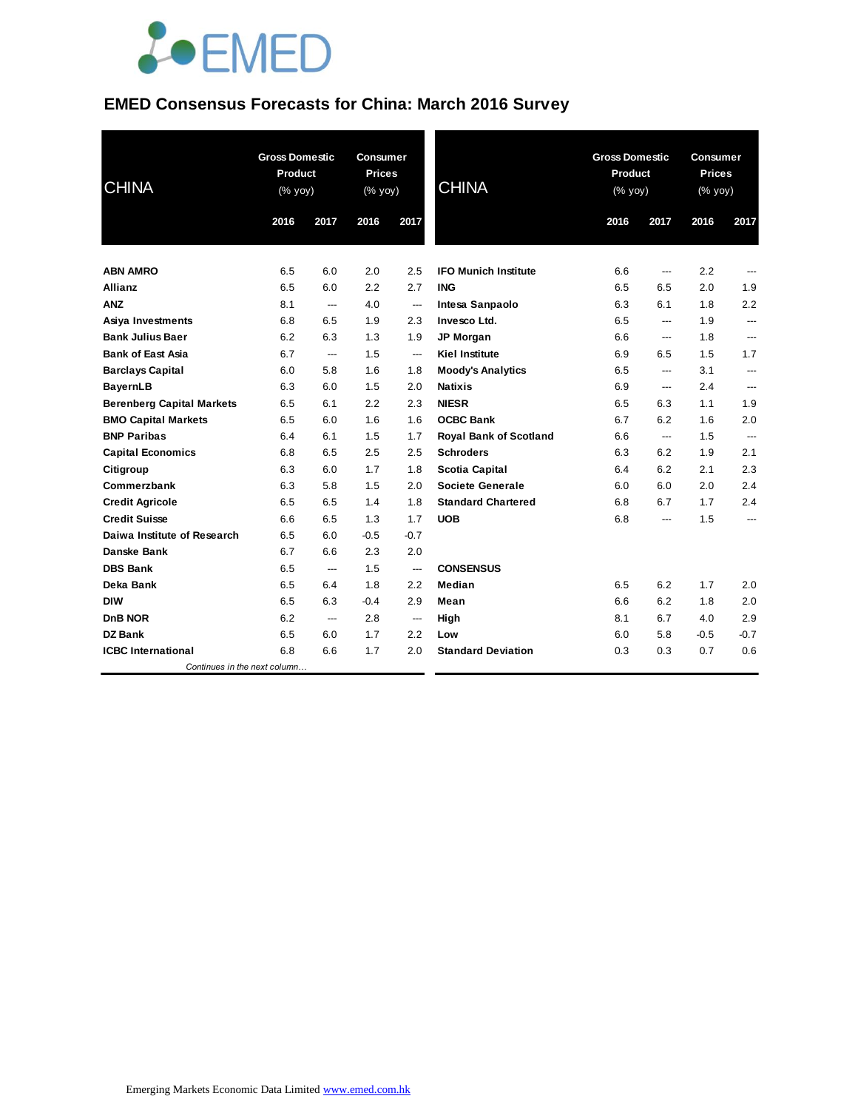

### **EMED Consensus Forecasts for China: March 2016 Survey**

| <b>CHINA</b>                     | <b>Gross Domestic</b><br>Product<br>$(% \mathsf{y}\right)$ (% $\overline{\mathsf{y}\mathsf{y}}$ ) |                | <b>Consumer</b><br><b>Prices</b><br>(% yoy) |                          | <b>CHINA</b>                  |      | <b>Gross Domestic</b><br><b>Product</b><br>$(% \mathsf{Y}^{\prime }\mathsf{Y}^{\prime }\mathsf{Y})$ (% $\mathsf{Y}^{\prime }\mathsf{Y})$ |        | <b>Consumer</b><br><b>Prices</b><br>(% yoy) |  |
|----------------------------------|---------------------------------------------------------------------------------------------------|----------------|---------------------------------------------|--------------------------|-------------------------------|------|------------------------------------------------------------------------------------------------------------------------------------------|--------|---------------------------------------------|--|
|                                  | 2016                                                                                              | 2017           | 2016                                        | 2017                     |                               | 2016 | 2017                                                                                                                                     | 2016   | 2017                                        |  |
| <b>ABN AMRO</b>                  | 6.5                                                                                               | 6.0            | 2.0                                         | 2.5                      | <b>IFO Munich Institute</b>   | 6.6  | ---                                                                                                                                      | 2.2    |                                             |  |
| <b>Allianz</b>                   | 6.5                                                                                               | 6.0            | 2.2                                         | 2.7                      | <b>ING</b>                    | 6.5  | 6.5                                                                                                                                      | 2.0    | 1.9                                         |  |
| <b>ANZ</b>                       | 8.1                                                                                               | $---$          | 4.0                                         | $---$                    | Intesa Sanpaolo               | 6.3  | 6.1                                                                                                                                      | 1.8    | 2.2                                         |  |
| Asiya Investments                | 6.8                                                                                               | 6.5            | 1.9                                         | 2.3                      | Invesco Ltd.                  | 6.5  | ---                                                                                                                                      | 1.9    | ---                                         |  |
| <b>Bank Julius Baer</b>          | 6.2                                                                                               | 6.3            | 1.3                                         | 1.9                      | <b>JP Morgan</b>              | 6.6  | ---                                                                                                                                      | 1.8    | ---                                         |  |
| <b>Bank of East Asia</b>         | 6.7                                                                                               | $\overline{a}$ | 1.5                                         | $\overline{\phantom{a}}$ | <b>Kiel Institute</b>         | 6.9  | 6.5                                                                                                                                      | 1.5    | 1.7                                         |  |
| <b>Barclays Capital</b>          | 6.0                                                                                               | 5.8            | 1.6                                         | 1.8                      | <b>Moody's Analytics</b>      | 6.5  | ---                                                                                                                                      | 3.1    | ---                                         |  |
| <b>BayernLB</b>                  | 6.3                                                                                               | 6.0            | 1.5                                         | 2.0                      | <b>Natixis</b>                | 6.9  | ---                                                                                                                                      | 2.4    | ---                                         |  |
| <b>Berenberg Capital Markets</b> | 6.5                                                                                               | 6.1            | 2.2                                         | 2.3                      | <b>NIESR</b>                  | 6.5  | 6.3                                                                                                                                      | 1.1    | 1.9                                         |  |
| <b>BMO Capital Markets</b>       | 6.5                                                                                               | 6.0            | 1.6                                         | 1.6                      | <b>OCBC Bank</b>              | 6.7  | 6.2                                                                                                                                      | 1.6    | 2.0                                         |  |
| <b>BNP Paribas</b>               | 6.4                                                                                               | 6.1            | 1.5                                         | 1.7                      | <b>Royal Bank of Scotland</b> | 6.6  | ---                                                                                                                                      | 1.5    | $\hspace{0.05cm} \ldots$                    |  |
| <b>Capital Economics</b>         | 6.8                                                                                               | 6.5            | 2.5                                         | 2.5                      | <b>Schroders</b>              | 6.3  | 6.2                                                                                                                                      | 1.9    | 2.1                                         |  |
| Citigroup                        | 6.3                                                                                               | 6.0            | 1.7                                         | 1.8                      | <b>Scotia Capital</b>         | 6.4  | 6.2                                                                                                                                      | 2.1    | 2.3                                         |  |
| Commerzbank                      | 6.3                                                                                               | 5.8            | 1.5                                         | 2.0                      | <b>Societe Generale</b>       | 6.0  | 6.0                                                                                                                                      | 2.0    | 2.4                                         |  |
| <b>Credit Agricole</b>           | 6.5                                                                                               | 6.5            | 1.4                                         | 1.8                      | <b>Standard Chartered</b>     | 6.8  | 6.7                                                                                                                                      | 1.7    | 2.4                                         |  |
| <b>Credit Suisse</b>             | 6.6                                                                                               | 6.5            | 1.3                                         | 1.7                      | <b>UOB</b>                    | 6.8  | ---                                                                                                                                      | 1.5    | $---$                                       |  |
| Daiwa Institute of Research      | 6.5                                                                                               | 6.0            | $-0.5$                                      | $-0.7$                   |                               |      |                                                                                                                                          |        |                                             |  |
| Danske Bank                      | 6.7                                                                                               | 6.6            | 2.3                                         | 2.0                      |                               |      |                                                                                                                                          |        |                                             |  |
| <b>DBS Bank</b>                  | 6.5                                                                                               | $---$          | 1.5                                         | ---                      | <b>CONSENSUS</b>              |      |                                                                                                                                          |        |                                             |  |
| Deka Bank                        | 6.5                                                                                               | 6.4            | 1.8                                         | 2.2                      | Median                        | 6.5  | 6.2                                                                                                                                      | 1.7    | 2.0                                         |  |
| <b>DIW</b>                       | 6.5                                                                                               | 6.3            | $-0.4$                                      | 2.9                      | Mean                          | 6.6  | 6.2                                                                                                                                      | 1.8    | 2.0                                         |  |
| DnB NOR                          | 6.2                                                                                               | $---$          | 2.8                                         | ---                      | High                          | 8.1  | 6.7                                                                                                                                      | 4.0    | 2.9                                         |  |
| <b>DZ Bank</b>                   | 6.5                                                                                               | 6.0            | 1.7                                         | 2.2                      | Low                           | 6.0  | 5.8                                                                                                                                      | $-0.5$ | $-0.7$                                      |  |
| <b>ICBC</b> International        | 6.8                                                                                               | 6.6            | 1.7                                         | 2.0                      | <b>Standard Deviation</b>     | 0.3  | 0.3                                                                                                                                      | 0.7    | 0.6                                         |  |
| Continues in the next column     |                                                                                                   |                |                                             |                          |                               |      |                                                                                                                                          |        |                                             |  |